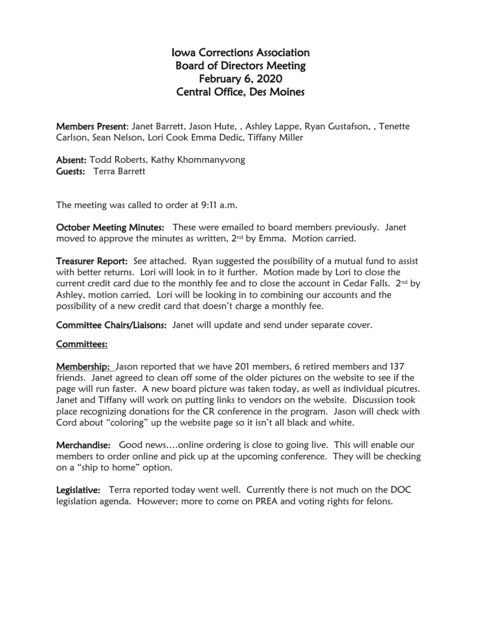## Iowa Corrections Association Board of Directors Meeting February 6, 2020 Central Office, Des Moines

Members Present: Janet Barrett, Jason Hute, , Ashley Lappe, Ryan Gustafson, , Tenette Carlson, Sean Nelson, Lori Cook Emma Dedic, Tiffany Miller

Absent: Todd Roberts, Kathy Khommanyvong Guests: Terra Barrett

The meeting was called to order at 9:11 a.m.

October Meeting Minutes: These were emailed to board members previously. Janet moved to approve the minutes as written, 2<sup>nd</sup> by Emma. Motion carried.

**Treasurer Report:** See attached. Ryan suggested the possibility of a mutual fund to assist with better returns. Lori will look in to it further. Motion made by Lori to close the current credit card due to the monthly fee and to close the account in Cedar Falls.  $2^{nd}$  by Ashley, motion carried. Lori will be looking in to combining our accounts and the possibility of a new credit card that doesn't charge a monthly fee.

Committee Chairs/Liaisons: Janet will update and send under separate cover.

### Committees:

Membership: Jason reported that we have 201 members, 6 retired members and 137 friends. Janet agreed to clean off some of the older pictures on the website to see if the page will run faster. A new board picture was taken today, as well as individual picutres. Janet and Tiffany will work on putting links to vendors on the website. Discussion took place recognizing donations for the CR conference in the program. Jason will check with Cord about "coloring" up the website page so it isn't all black and white.

Merchandise: Good news….online ordering is close to going live. This will enable our members to order online and pick up at the upcoming conference. They will be checking on a "ship to home" option.

Legislative: Terra reported today went well. Currently there is not much on the DOC legislation agenda. However; more to come on PREA and voting rights for felons.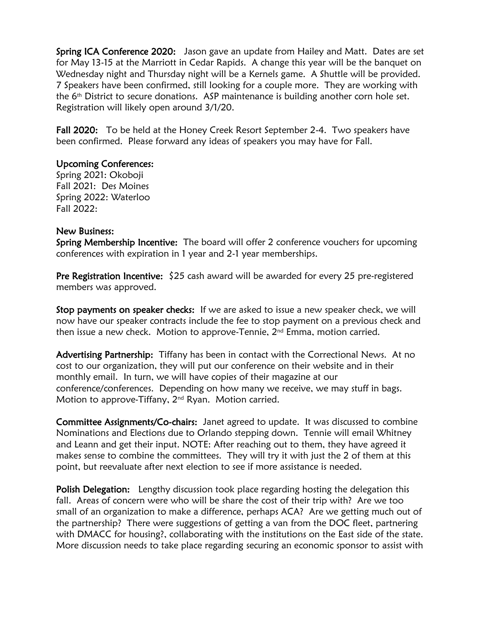Spring ICA Conference 2020: Jason gave an update from Hailey and Matt. Dates are set for May 13-15 at the Marriott in Cedar Rapids. A change this year will be the banquet on Wednesday night and Thursday night will be a Kernels game. A Shuttle will be provided. 7 Speakers have been confirmed, still looking for a couple more. They are working with the 6 th District to secure donations. ASP maintenance is building another corn hole set. Registration will likely open around 3/1/20.

Fall 2020: To be held at the Honey Creek Resort September 2-4. Two speakers have been confirmed. Please forward any ideas of speakers you may have for Fall.

#### Upcoming Conferences:

Spring 2021: Okoboji Fall 2021: Des Moines Spring 2022: Waterloo Fall 2022:

#### New Business:

Spring Membership Incentive: The board will offer 2 conference vouchers for upcoming conferences with expiration in 1 year and 2-1 year memberships.

**Pre Registration Incentive:**  $$25$  cash award will be awarded for every 25 pre-registered members was approved.

Stop payments on speaker checks: If we are asked to issue a new speaker check, we will now have our speaker contracts include the fee to stop payment on a previous check and then issue a new check. Motion to approve-Tennie, 2<sup>nd</sup> Emma, motion carried.

Advertising Partnership: Tiffany has been in contact with the Correctional News. At no cost to our organization, they will put our conference on their website and in their monthly email. In turn, we will have copies of their magazine at our conference/conferences. Depending on how many we receive, we may stuff in bags. Motion to approve-Tiffany, 2<sup>nd</sup> Ryan. Motion carried.

Committee Assignments/Co-chairs: Janet agreed to update. It was discussed to combine Nominations and Elections due to Orlando stepping down. Tennie will email Whitney and Leann and get their input. NOTE: After reaching out to them, they have agreed it makes sense to combine the committees. They will try it with just the 2 of them at this point, but reevaluate after next election to see if more assistance is needed.

Polish Delegation: Lengthy discussion took place regarding hosting the delegation this fall. Areas of concern were who will be share the cost of their trip with? Are we too small of an organization to make a difference, perhaps ACA? Are we getting much out of the partnership? There were suggestions of getting a van from the DOC fleet, partnering with DMACC for housing?, collaborating with the institutions on the East side of the state. More discussion needs to take place regarding securing an economic sponsor to assist with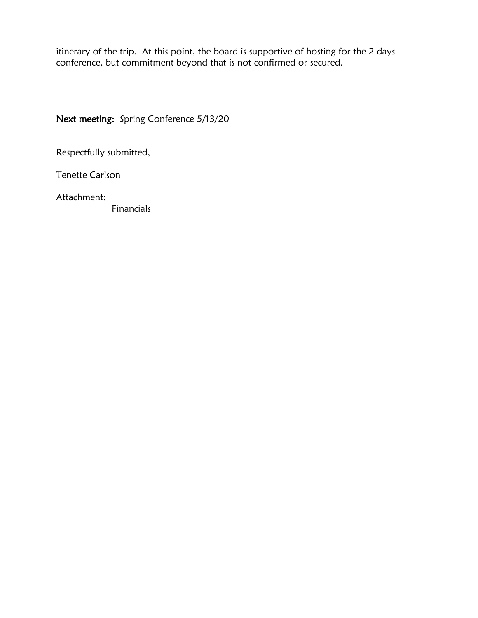itinerary of the trip. At this point, the board is supportive of hosting for the 2 days conference, but commitment beyond that is not confirmed or secured.

Next meeting: Spring Conference 5/13/20

Respectfully submitted,

Tenette Carlson

Attachment:

Financials